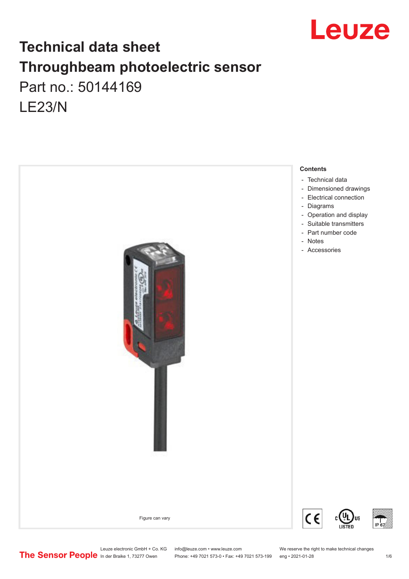

# **Technical data sheet Throughbeam photoelectric sensor**  Part no.: 50144169 LE23/N



Leuze electronic GmbH + Co. KG info@leuze.com • www.leuze.com We reserve the right to make technical changes<br>
The Sensor People in der Braike 1, 73277 Owen Phone: +49 7021 573-0 • Fax: +49 7021 573-199 eng • 2021-01-28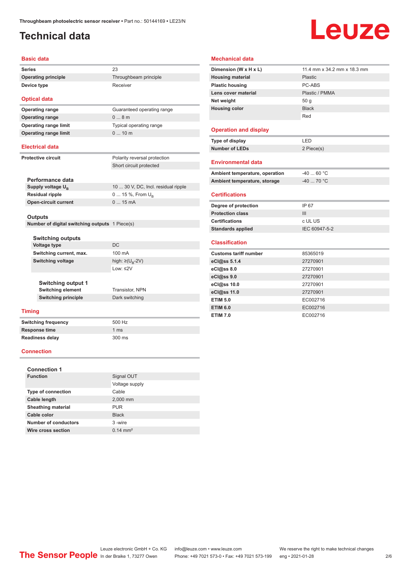# <span id="page-1-0"></span>**Technical data**

# Leuze

#### **Basic data**

| <b>Series</b>       | 23                    |
|---------------------|-----------------------|
| Operating principle | Throughbeam principle |
| Device type         | Receiver              |

#### **Optical data Operating range Operating range Operating range limit Operating range limit**

| Guaranteed operating range |
|----------------------------|
| $0 \dots 8$ m              |
| Typical operating range    |
| 10m                        |

#### **Electrical data**

| <b>Protective circuit</b> |  |
|---------------------------|--|
|                           |  |

Polarity reversal protection Short circuit protected

| Performance data              |                                     |
|-------------------------------|-------------------------------------|
| Supply voltage U <sub>B</sub> | 10  30 V, DC, Incl. residual ripple |
| <b>Residual ripple</b>        | 0  15 %, From $U_{\rm B}$           |
| <b>Open-circuit current</b>   | $015$ mA                            |
|                               |                                     |

#### **Outputs**

**Number of digital switching outputs** 1 Piece(s)

| <b>Switching outputs</b>                              |                     |
|-------------------------------------------------------|---------------------|
| Voltage type                                          | DC.                 |
| Switching current, max.                               | 100 mA              |
| Switching voltage                                     | high: ≥( $U_B$ -2V) |
|                                                       | Low: ≤2V            |
| <b>Switching output 1</b><br><b>Switching element</b> | Transistor, NPN     |
| <b>Switching principle</b>                            | Dark switching      |
| ning                                                  |                     |

#### **Timing**

**Switching frequency** 500 Hz **Response time** 1 ms **Readiness delay** 300 ms

**Connection**

| <b>Connection 1</b>         |                     |
|-----------------------------|---------------------|
| <b>Function</b>             | Signal OUT          |
|                             | Voltage supply      |
| <b>Type of connection</b>   | Cable               |
| Cable length                | 2,000 mm            |
| <b>Sheathing material</b>   | <b>PUR</b>          |
| Cable color                 | <b>Black</b>        |
| <b>Number of conductors</b> | 3-wire              |
| Wire cross section          | $0.14 \text{ mm}^2$ |

#### **Mechanical data Dimension (W x H x L)** 11.4 mm x 34.2 mm x 18.3 mm **Housing material** Plastic **Plastic housing** PC-ABS **Lens cover material** Plastic / PMMA **Net weight** 50 g **Housing color** Black Red **Operation and display Type of display** LED **Number of LEDs** 2 Piece(s) **Environmental data** Ambient temperature, operation  $-40...60$  °C **Ambient temperature, storage**  $-40$  ... 70 °C **Certifications Degree of protection** IP 67 **Protection class** III **Certifications** c UL US **Standards applied** IEC 60947-5-2 **Classification Customs tariff number** 85365019 **eCl@ss 5.1.4** 27270901 **eCl@ss 8.0** 27270901 **eCl@ss 9.0** 27270901 **eCl@ss 10.0** 27270901

| eCl@ss 11.0     | 27270901 |
|-----------------|----------|
| <b>ETIM 5.0</b> | EC002716 |
| <b>ETIM 6.0</b> | EC002716 |
| <b>ETIM 7.0</b> | EC002716 |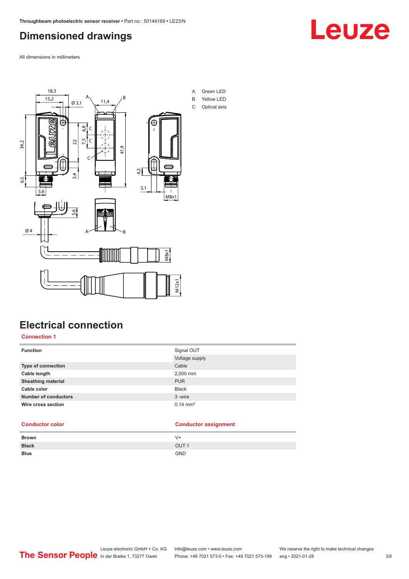## <span id="page-2-0"></span>**Dimensioned drawings**

All dimensions in millimeters



# **Electrical connection**

**Connection 1**

| <b>Function</b>             | Signal OUT          |  |
|-----------------------------|---------------------|--|
|                             | Voltage supply      |  |
| Type of connection          | Cable               |  |
| Cable length                | 2,000 mm            |  |
| <b>Sheathing material</b>   | <b>PUR</b>          |  |
| Cable color                 | <b>Black</b>        |  |
| <b>Number of conductors</b> | 3-wire              |  |
| Wire cross section          | $0.14 \text{ mm}^2$ |  |

#### **Conductor color Conductor assignment**

| <b>Brown</b> | V+               |
|--------------|------------------|
| <b>Black</b> | OUT <sub>1</sub> |
| <b>Blue</b>  | <b>GND</b>       |

Leuze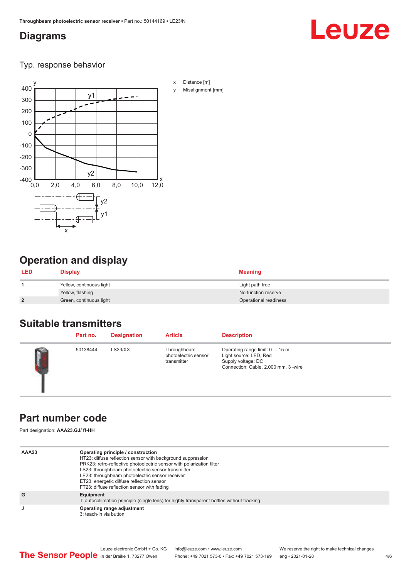#### <span id="page-3-0"></span>**Diagrams**

# Leuze

Typ. response behavior



# **Operation and display**

| <b>LED</b>     | <b>Display</b>           | <b>Meaning</b>        |
|----------------|--------------------------|-----------------------|
|                | Yellow, continuous light | Light path free       |
|                | Yellow, flashing         | No function reserve   |
| $\overline{2}$ | Green, continuous light  | Operational readiness |

#### **Suitable transmitters**

| Part no. | <b>Designation</b> | <b>Article</b>                                     | <b>Description</b>                                                                                                     |
|----------|--------------------|----------------------------------------------------|------------------------------------------------------------------------------------------------------------------------|
| 50138444 | LS23/XX            | Throughbeam<br>photoelectric sensor<br>transmitter | Operating range limit: 0  15 m<br>Light source: LED, Red<br>Supply voltage: DC<br>Connection: Cable, 2,000 mm, 3 -wire |

### **Part number code**

Part designation: **AAA23.GJ/ ff-HH**

| AAA23 | Operating principle / construction<br>HT23: diffuse reflection sensor with background suppression<br>PRK23: retro-reflective photoelectric sensor with polarization filter<br>LS23: throughbeam photoelectric sensor transmitter<br>LE23: throughbeam photoelectric sensor receiver<br>ET23: energetic diffuse reflection sensor<br>FT23: diffuse reflection sensor with fading |
|-------|---------------------------------------------------------------------------------------------------------------------------------------------------------------------------------------------------------------------------------------------------------------------------------------------------------------------------------------------------------------------------------|
| G     | Equipment<br>T: autocollimation principle (single lens) for highly transparent bottles without tracking                                                                                                                                                                                                                                                                         |
| J     | Operating range adjustment<br>3: teach-in via button                                                                                                                                                                                                                                                                                                                            |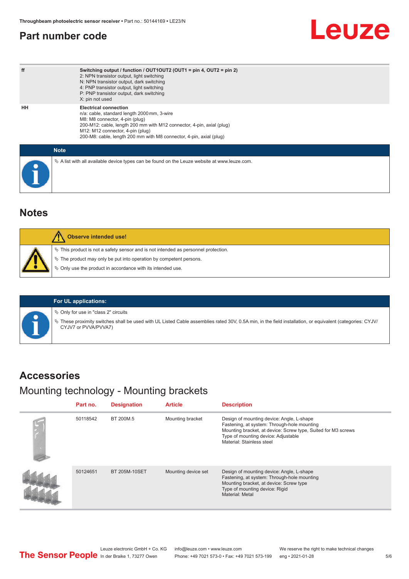### <span id="page-4-0"></span>**Part number code**

# Leuze

| ff | Switching output / function / $OUT1OUT2$ (OUT1 = pin 4, OUT2 = pin 2)<br>2: NPN transistor output, light switching<br>N: NPN transistor output, dark switching<br>4: PNP transistor output, light switching<br>P: PNP transistor output, dark switching<br>X: pin not used                        |
|----|---------------------------------------------------------------------------------------------------------------------------------------------------------------------------------------------------------------------------------------------------------------------------------------------------|
| HН | <b>Electrical connection</b><br>n/a: cable, standard length 2000 mm, 3-wire<br>M8: M8 connector, 4-pin (plug)<br>200-M12: cable, length 200 mm with M12 connector, 4-pin, axial (plug)<br>M12: M12 connector, 4-pin (plug)<br>200-M8: cable, length 200 mm with M8 connector, 4-pin, axial (plug) |
|    | <b>Note</b>                                                                                                                                                                                                                                                                                       |
|    | $\&$ A list with all available device types can be found on the Leuze website at www.leuze.com.                                                                                                                                                                                                   |

#### **Notes**

|  | Observe intended use!                                                                                                                                          |
|--|----------------------------------------------------------------------------------------------------------------------------------------------------------------|
|  | $\%$ This product is not a safety sensor and is not intended as personnel protection.<br>$\%$ The product may only be put into operation by competent persons. |
|  | $\%$ Only use the product in accordance with its intended use.                                                                                                 |



 $\%$  Only for use in "class 2" circuits

ª These proximity switches shall be used with UL Listed Cable assemblies rated 30V, 0.5A min, in the field installation, or equivalent (categories: CYJV/ CYJV7 or PVVA/PVVA7)

#### **Accessories**

### Mounting technology - Mounting brackets

| Part no. | <b>Designation</b>   | <b>Article</b>      | <b>Description</b>                                                                                                                                                                                                            |
|----------|----------------------|---------------------|-------------------------------------------------------------------------------------------------------------------------------------------------------------------------------------------------------------------------------|
| 50118542 | BT 200M.5            | Mounting bracket    | Design of mounting device: Angle, L-shape<br>Fastening, at system: Through-hole mounting<br>Mounting bracket, at device: Screw type, Suited for M3 screws<br>Type of mounting device: Adjustable<br>Material: Stainless steel |
| 50124651 | <b>BT 205M-10SET</b> | Mounting device set | Design of mounting device: Angle, L-shape<br>Fastening, at system: Through-hole mounting<br>Mounting bracket, at device: Screw type<br>Type of mounting device: Rigid<br>Material: Metal                                      |